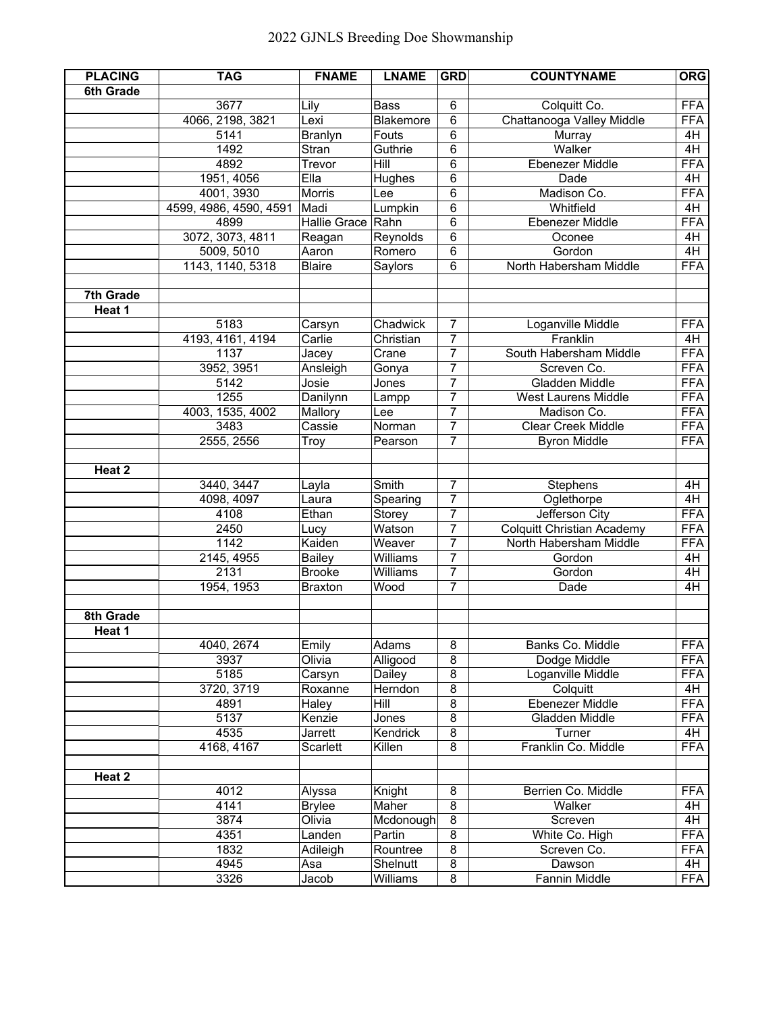| <b>PLACING</b> | <b>TAG</b>             | <b>FNAME</b>      | <b>LNAME</b> | <b>GRD</b>     | <b>COUNTYNAME</b>                 | <b>ORG</b> |
|----------------|------------------------|-------------------|--------------|----------------|-----------------------------------|------------|
| 6th Grade      |                        |                   |              |                |                                   |            |
|                | 3677                   | Lily              | <b>Bass</b>  | 6              | Colquitt Co.                      | <b>FFA</b> |
|                | 4066, 2198, 3821       | Lexi              | Blakemore    | 6              | Chattanooga Valley Middle         | <b>FFA</b> |
|                | 5141                   | <b>Branlyn</b>    | Fouts        | 6              | Murray                            | 4H         |
|                | 1492                   | Stran             | Guthrie      | 6              | Walker                            | 4H         |
|                | 4892                   | Trevor            | Hill         | 6              | Ebenezer Middle                   | <b>FFA</b> |
|                | 1951, 4056             | Ella              | Hughes       | 6              | Dade                              | 4H         |
|                | 4001, 3930             | <b>Morris</b>     | Lee          | 6              | Madison Co.                       | <b>FFA</b> |
|                | 4599, 4986, 4590, 4591 | Madi              | Lumpkin      | 6              | Whitfield                         | 4H         |
|                | 4899                   | Hallie Grace Rahn |              | 6              | <b>Ebenezer Middle</b>            | <b>FFA</b> |
|                | 3072, 3073, 4811       | Reagan            | Reynolds     | $\overline{6}$ | Oconee                            | 4H         |
|                | 5009, 5010             | Aaron             | Romero       | 6              | Gordon                            | 4H         |
|                | 1143, 1140, 5318       | <b>Blaire</b>     | Saylors      | 6              | North Habersham Middle            | <b>FFA</b> |
|                |                        |                   |              |                |                                   |            |
| 7th Grade      |                        |                   |              |                |                                   |            |
| Heat 1         |                        |                   |              |                |                                   |            |
|                | 5183                   | Carsyn            | Chadwick     | $\overline{7}$ | Loganville Middle                 | <b>FFA</b> |
|                | 4193, 4161, 4194       | Carlie            | Christian    | $\overline{7}$ | Franklin                          | 4H         |
|                | 1137                   | Jacey             | Crane        | $\overline{7}$ | South Habersham Middle            | <b>FFA</b> |
|                | 3952, 3951             | Ansleigh          | Gonya        | 7              | Screven Co.                       | <b>FFA</b> |
|                | 5142                   | Josie             | Jones        | $\overline{7}$ | Gladden Middle                    | <b>FFA</b> |
|                | 1255                   | Danilynn          | Lampp        | $\overline{7}$ | <b>West Laurens Middle</b>        | <b>FFA</b> |
|                | 4003, 1535, 4002       | Mallory           | Lee          | $\overline{7}$ | Madison Co.                       | <b>FFA</b> |
|                | 3483                   | Cassie            | Norman       | $\overline{7}$ | <b>Clear Creek Middle</b>         | <b>FFA</b> |
|                | 2555, 2556             | Troy              | Pearson      | $\overline{7}$ | <b>Byron Middle</b>               | <b>FFA</b> |
|                |                        |                   |              |                |                                   |            |
| Heat 2         |                        |                   |              |                |                                   |            |
|                | 3440, 3447             | Layla             | Smith        | $\overline{7}$ | Stephens                          | 4H         |
|                | 4098, 4097             | Laura             | Spearing     | $\overline{7}$ | Oglethorpe                        | 4H         |
|                | 4108                   | Ethan             | Storey       | $\overline{7}$ | Jefferson City                    | <b>FFA</b> |
|                | 2450                   | Lucy              | Watson       | $\overline{7}$ | <b>Colquitt Christian Academy</b> | <b>FFA</b> |
|                | 1142                   | Kaiden            | Weaver       | $\overline{7}$ | North Habersham Middle            | <b>FFA</b> |
|                | 2145, 4955             | Bailey            | Williams     | $\overline{7}$ | Gordon                            | 4H         |
|                | 2131                   | <b>Brooke</b>     | Williams     | $\overline{7}$ | Gordon                            | 4H         |
|                | 1954, 1953             | <b>Braxton</b>    | Wood         | $\overline{7}$ | Dade                              | 4H         |
|                |                        |                   |              |                |                                   |            |
| 8th Grade      |                        |                   |              |                |                                   |            |
| Heat 1         |                        |                   |              |                |                                   |            |
|                | 4040, 2674             | Emily             | Adams        | 8              | Banks Co. Middle                  | <b>FFA</b> |
|                | 3937                   | Olivia            | Alligood     | $\overline{8}$ | Dodge Middle                      | <b>FFA</b> |
|                | 5185                   | Carsyn            | Dailey       | 8              | Loganville Middle                 | <b>FFA</b> |
|                | 3720, 3719             | Roxanne           | Herndon      | $\overline{8}$ | Colquitt                          | 4H         |
|                | 4891                   | Haley             | Hill         | $\overline{8}$ | Ebenezer Middle                   | <b>FFA</b> |
|                | 5137                   | Kenzie            | Jones        | $\overline{8}$ | Gladden Middle                    | <b>FFA</b> |
|                | 4535                   | Jarrett           | Kendrick     | 8              | Turner                            | 4H         |
|                | 4168, 4167             | Scarlett          | Killen       | $\overline{8}$ | Franklin Co. Middle               | <b>FFA</b> |
|                |                        |                   |              |                |                                   |            |
| Heat 2         |                        |                   |              |                |                                   |            |
|                | 4012                   | Alyssa            | Knight       | 8              | Berrien Co. Middle                | <b>FFA</b> |
|                | 4141                   | <b>Brylee</b>     | Maher        | 8              | Walker                            | 4H         |
|                | 3874                   | Olivia            | Mcdonough    | 8              | Screven                           | 4H         |
|                | 4351                   | Landen            | Partin       | 8              | White Co. High                    | <b>FFA</b> |
|                | 1832                   | Adileigh          | Rountree     | $\overline{8}$ | Screven Co.                       | <b>FFA</b> |
|                | 4945                   | Asa               | Shelnutt     | $\overline{8}$ | Dawson                            | 4H         |
|                | 3326                   | Jacob             | Williams     | 8              | Fannin Middle                     | <b>FFA</b> |
|                |                        |                   |              |                |                                   |            |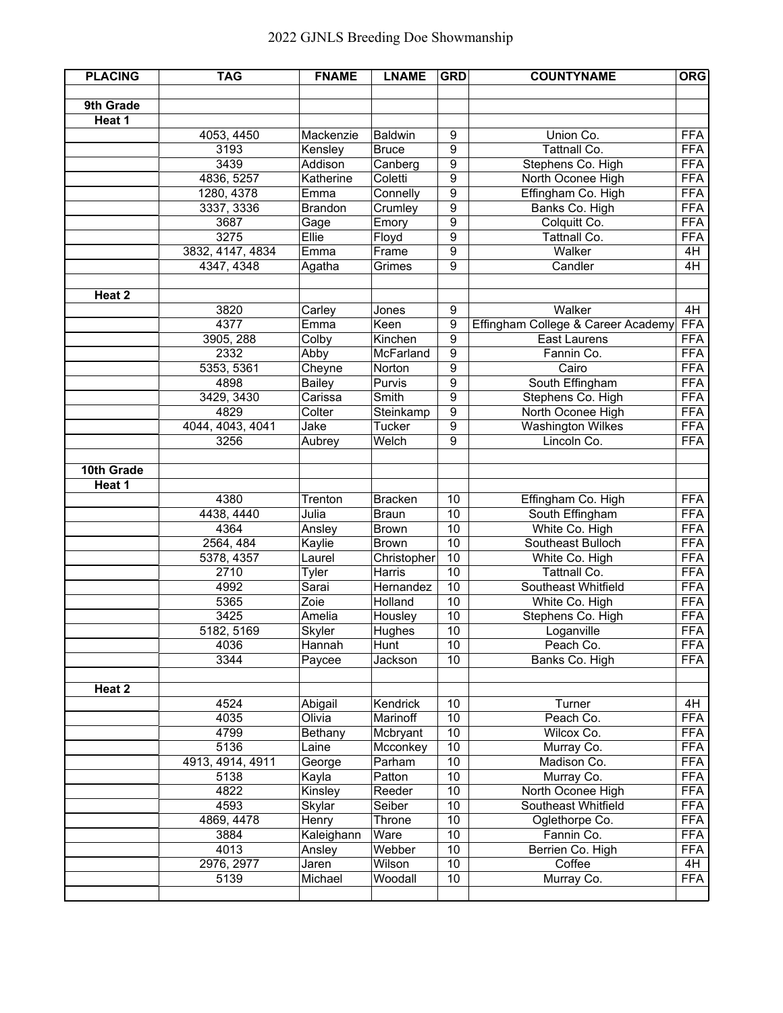| <b>PLACING</b> | <b>TAG</b>         | <b>FNAME</b>       | <b>LNAME</b>                   | <b>GRD</b>            | <b>COUNTYNAME</b>                   | <b>ORG</b>               |
|----------------|--------------------|--------------------|--------------------------------|-----------------------|-------------------------------------|--------------------------|
|                |                    |                    |                                |                       |                                     |                          |
| 9th Grade      |                    |                    |                                |                       |                                     |                          |
| Heat 1         |                    |                    |                                |                       |                                     |                          |
|                | 4053, 4450<br>3193 | Mackenzie          | <b>Baldwin</b><br><b>Bruce</b> | 9<br>9                | Union Co.<br>Tattnall Co.           | <b>FFA</b><br><b>FFA</b> |
|                | 3439               | Kensley<br>Addison | Canberg                        | 9                     | Stephens Co. High                   | <b>FFA</b>               |
|                | 4836, 5257         | Katherine          | Coletti                        | 9                     | North Oconee High                   | <b>FFA</b>               |
|                | 1280, 4378         | Emma               | Connelly                       | $\overline{9}$        | Effingham Co. High                  | <b>FFA</b>               |
|                | 3337, 3336         | <b>Brandon</b>     | Crumley                        | 9                     | Banks Co. High                      | <b>FFA</b>               |
|                | 3687               | Gage               | Emory                          | 9                     | Colquitt Co.                        | <b>FFA</b>               |
|                | 3275               | Ellie              | Floyd                          | 9                     | Tattnall Co.                        | <b>FFA</b>               |
|                | 3832, 4147, 4834   | Emma               | Frame                          | 9                     | Walker                              | 4H                       |
|                | 4347, 4348         | Agatha             | Grimes                         | $\overline{9}$        | Candler                             | 4H                       |
|                |                    |                    |                                |                       |                                     |                          |
| Heat 2         |                    |                    |                                |                       |                                     |                          |
|                | 3820               | Carley             | Jones                          | 9                     | Walker                              | 4H                       |
|                | 4377               | Emma               | Keen                           | 9                     | Effingham College & Career Academy  | <b>FFA</b>               |
|                | 3905, 288          | Colby              | Kinchen                        | 9                     | <b>East Laurens</b>                 | <b>FFA</b>               |
|                | 2332               | Abby               | McFarland                      | 9                     | Fannin Co.                          | <b>FFA</b>               |
|                | 5353, 5361         | Cheyne             | Norton                         | 9                     | Cairo                               | <b>FFA</b>               |
|                | 4898               | <b>Bailey</b>      | Purvis                         | 9                     | South Effingham                     | <b>FFA</b>               |
|                | 3429, 3430         | Carissa            | Smith                          | 9                     | Stephens Co. High                   | <b>FFA</b>               |
|                | 4829               | Colter             | Steinkamp                      | $\overline{9}$        | North Oconee High                   | <b>FFA</b>               |
|                | 4044, 4043, 4041   | Jake               | Tucker                         | 9                     | <b>Washington Wilkes</b>            | <b>FFA</b>               |
|                | 3256               | Aubrey             | Welch                          | 9                     | Lincoln Co.                         | <b>FFA</b>               |
|                |                    |                    |                                |                       |                                     |                          |
| 10th Grade     |                    |                    |                                |                       |                                     |                          |
| Heat 1         |                    |                    |                                |                       |                                     |                          |
|                | 4380               | Trenton            | <b>Bracken</b>                 | 10                    | Effingham Co. High                  | <b>FFA</b>               |
|                | 4438, 4440         | Julia              | <b>Braun</b>                   | 10                    | South Effingham                     | <b>FFA</b>               |
|                | 4364               | Ansley             | <b>Brown</b>                   | 10<br>$\overline{10}$ | White Co. High<br>Southeast Bulloch | <b>FFA</b><br><b>FFA</b> |
|                | 2564, 484          | Kaylie             | <b>Brown</b>                   | 10                    |                                     | <b>FFA</b>               |
|                | 5378, 4357<br>2710 | Laurel<br>Tyler    | Christopher<br>Harris          | $\overline{10}$       | White Co. High<br>Tattnall Co.      | <b>FFA</b>               |
|                | 4992               | Sarai              | Hernandez                      | 10                    | Southeast Whitfield                 | <b>FFA</b>               |
|                | 5365               | Zoie               | Holland                        | 10                    | White Co. High                      | <b>FFA</b>               |
|                | 3425               | Amelia             | Housley                        | $\overline{10}$       | Stephens Co. High                   | <b>FFA</b>               |
|                | 5182, 5169         | Skyler             | Hughes                         | $\overline{10}$       | Loganville                          | <b>FFA</b>               |
|                | 4036               | Hannah             | Hunt                           | 10                    | Peach Co.                           | <b>FFA</b>               |
|                | 3344               | Paycee             | Jackson                        | 10                    | Banks Co. High                      | <b>FFA</b>               |
|                |                    |                    |                                |                       |                                     |                          |
| Heat 2         |                    |                    |                                |                       |                                     |                          |
|                | 4524               | Abigail            | Kendrick                       | 10                    | Turner                              | 4H                       |
|                | 4035               | Olivia             | Marinoff                       | 10                    | Peach Co.                           | <b>FFA</b>               |
|                | 4799               | Bethany            | Mcbryant                       | 10                    | Wilcox Co.                          | <b>FFA</b>               |
|                | 5136               | Laine              | Mcconkey                       | $\overline{10}$       | Murray Co.                          | <b>FFA</b>               |
|                | 4913, 4914, 4911   | George             | Parham                         | 10                    | Madison Co.                         | <b>FFA</b>               |
|                | 5138               | Kayla              | Patton                         | 10                    | Murray Co.                          | <b>FFA</b>               |
|                | 4822               | Kinsley            | Reeder                         | 10                    | North Oconee High                   | <b>FFA</b>               |
|                | 4593               | Skylar             | Seiber                         | 10                    | Southeast Whitfield                 | <b>FFA</b>               |
|                | 4869, 4478         | Henry              | Throne                         | 10                    | Oglethorpe Co.                      | <b>FFA</b>               |
|                | 3884               | Kaleighann         | Ware                           | 10                    | Fannin Co.                          | <b>FFA</b>               |
|                | 4013               | Ansley             | Webber                         | 10                    | Berrien Co. High                    | <b>FFA</b>               |
|                | 2976, 2977         | Jaren              | Wilson                         | 10                    | Coffee                              | 4H                       |
|                | 5139               | Michael            | Woodall                        | 10                    | Murray Co.                          | <b>FFA</b>               |
|                |                    |                    |                                |                       |                                     |                          |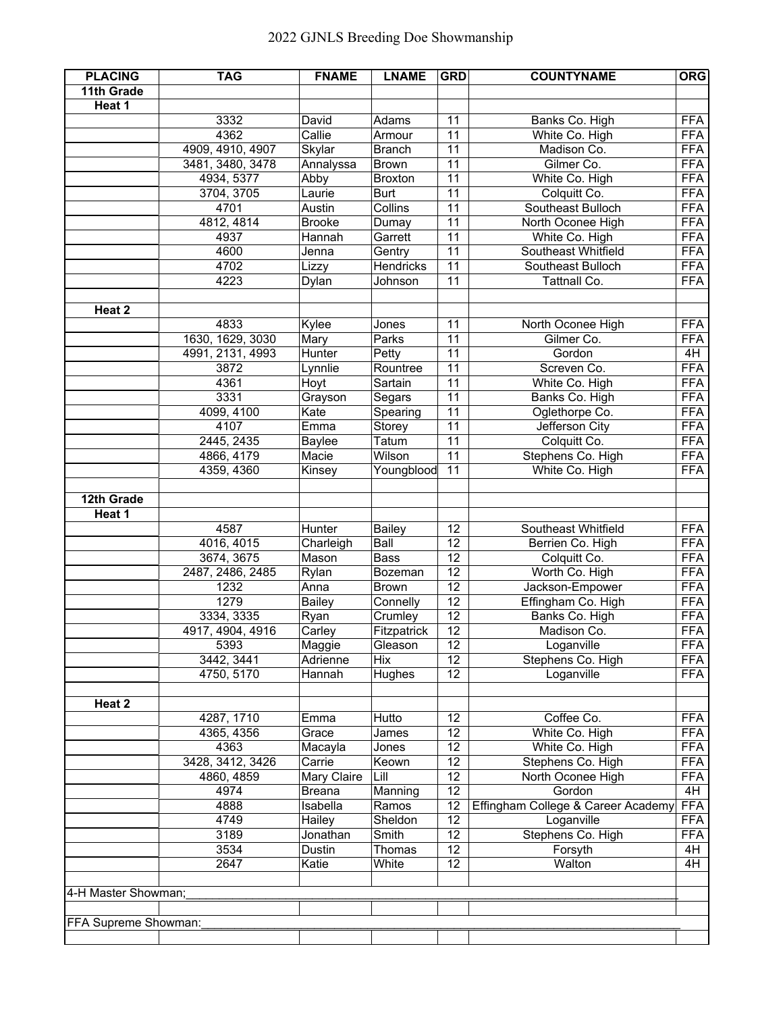| <b>PLACING</b>       | <b>TAG</b>       | <b>FNAME</b>  | <b>LNAME</b>   | <b>GRD</b>      | <b>COUNTYNAME</b>                  | <b>ORG</b> |
|----------------------|------------------|---------------|----------------|-----------------|------------------------------------|------------|
| 11th Grade           |                  |               |                |                 |                                    |            |
| Heat 1               |                  |               |                |                 |                                    |            |
|                      | 3332             | David         | Adams          | 11              | Banks Co. High                     | <b>FFA</b> |
|                      | 4362             | Callie        | Armour         | 11              | White Co. High                     | <b>FFA</b> |
|                      | 4909, 4910, 4907 | Skylar        | <b>Branch</b>  | 11              | Madison Co.                        | <b>FFA</b> |
|                      | 3481, 3480, 3478 | Annalyssa     | <b>Brown</b>   | $\overline{11}$ | Gilmer Co.                         | <b>FFA</b> |
|                      | 4934, 5377       | Abby          | <b>Broxton</b> | 11              | White Co. High                     | <b>FFA</b> |
|                      | 3704, 3705       | Laurie        | <b>Burt</b>    | 11              | Colquitt Co.                       | <b>FFA</b> |
|                      | 4701             | Austin        | Collins        | 11              | Southeast Bulloch                  | <b>FFA</b> |
|                      | 4812, 4814       | <b>Brooke</b> | Dumay          | $\overline{11}$ | North Oconee High                  | <b>FFA</b> |
|                      | 4937             | Hannah        | Garrett        | $\overline{11}$ | White Co. High                     | <b>FFA</b> |
|                      | 4600             | Jenna         | Gentry         | 11              | Southeast Whitfield                | <b>FFA</b> |
|                      | 4702             | Lizzy         | Hendricks      | $\overline{11}$ | Southeast Bulloch                  | <b>FFA</b> |
|                      | 4223             | Dylan         | Johnson        | 11              | Tattnall Co.                       | <b>FFA</b> |
|                      |                  |               |                |                 |                                    |            |
| Heat 2               |                  |               |                |                 |                                    |            |
|                      | 4833             | Kylee         | Jones          | 11              | North Oconee High                  | <b>FFA</b> |
|                      | 1630, 1629, 3030 | Mary          | Parks          | $\overline{11}$ | Gilmer Co.                         | <b>FFA</b> |
|                      | 4991, 2131, 4993 | Hunter        | Petty          | 11              | Gordon                             | 4H         |
|                      | 3872             | Lynnlie       | Rountree       | $\overline{11}$ | Screven Co.                        | <b>FFA</b> |
|                      | 4361             | Hoyt          | Sartain        | $\overline{11}$ | White Co. High                     | <b>FFA</b> |
|                      | 3331             | Grayson       | Segars         | 11              | Banks Co. High                     | <b>FFA</b> |
|                      | 4099, 4100       | Kate          | Spearing       | $\overline{11}$ | Oglethorpe Co.                     | <b>FFA</b> |
|                      | 4107             | Emma          | Storey         | 11              | Jefferson City                     | <b>FFA</b> |
|                      | 2445, 2435       | <b>Baylee</b> | Tatum          | 11              | Colquitt Co.                       | <b>FFA</b> |
|                      | 4866, 4179       | Macie         | Wilson         | 11              | Stephens Co. High                  | <b>FFA</b> |
|                      | 4359, 4360       | Kinsey        | Youngblood     | 11              | White Co. High                     | <b>FFA</b> |
| 12th Grade           |                  |               |                |                 |                                    |            |
|                      |                  |               |                |                 |                                    |            |
| Heat 1               | 4587             | Hunter        | <b>Bailey</b>  | 12              | Southeast Whitfield                | <b>FFA</b> |
|                      | 4016, 4015       | Charleigh     | Ball           | 12              | Berrien Co. High                   | <b>FFA</b> |
|                      | 3674, 3675       | Mason         | <b>Bass</b>    | $\overline{12}$ | Colquitt Co.                       | <b>FFA</b> |
|                      | 2487, 2486, 2485 | Rylan         | Bozeman        | 12              | Worth Co. High                     | <b>FFA</b> |
|                      | 1232             | Anna          | <b>Brown</b>   | 12              | Jackson-Empower                    | <b>FFA</b> |
|                      | 1279             | <b>Bailey</b> | Connelly       | $\overline{12}$ | Effingham Co. High                 | <b>FFA</b> |
|                      | 3334, 3335       | Ryan          | Crumley        | 12              | Banks Co. High                     | <b>FFA</b> |
|                      | 4917, 4904, 4916 | Carley        | Fitzpatrick    | $\overline{12}$ | Madison Co.                        | <b>FFA</b> |
|                      | 5393             | Maggie        | Gleason        | 12              | Loganville                         | <b>FFA</b> |
|                      | 3442, 3441       | Adrienne      | Hix            | 12              | Stephens Co. High                  | <b>FFA</b> |
|                      | 4750, 5170       | Hannah        | Hughes         | 12              | Loganville                         | <b>FFA</b> |
|                      |                  |               |                |                 |                                    |            |
| Heat 2               |                  |               |                |                 |                                    |            |
|                      | 4287, 1710       | Emma          | Hutto          | 12              | Coffee Co.                         | <b>FFA</b> |
|                      | 4365, 4356       | Grace         | James          | $\overline{12}$ | White Co. High                     | <b>FFA</b> |
|                      | 4363             | Macayla       | Jones          | 12              | White Co. High                     | <b>FFA</b> |
|                      | 3428, 3412, 3426 | Carrie        | Keown          | $\overline{12}$ | Stephens Co. High                  | <b>FFA</b> |
|                      | 4860, 4859       | Mary Claire   | Lill           | 12              | North Oconee High                  | <b>FFA</b> |
|                      | 4974             | <b>Breana</b> | Manning        | $\overline{12}$ | Gordon                             | 4H         |
|                      | 4888             | Isabella      | Ramos          | 12              | Effingham College & Career Academy | <b>FFA</b> |
|                      | 4749             | Hailey        | Sheldon        | 12              | Loganville                         | <b>FFA</b> |
|                      | 3189             | Jonathan      | Smith          | 12              | Stephens Co. High                  | <b>FFA</b> |
|                      | 3534             | Dustin        | Thomas         | 12              | Forsyth                            | 4H         |
|                      | 2647             | Katie         | White          | $\overline{12}$ | Walton                             | 4H         |
|                      |                  |               |                |                 |                                    |            |
| 4-H Master Showman;  |                  |               |                |                 |                                    |            |
|                      |                  |               |                |                 |                                    |            |
| FFA Supreme Showman: |                  |               |                |                 |                                    |            |
|                      |                  |               |                |                 |                                    |            |
|                      |                  |               |                |                 |                                    |            |